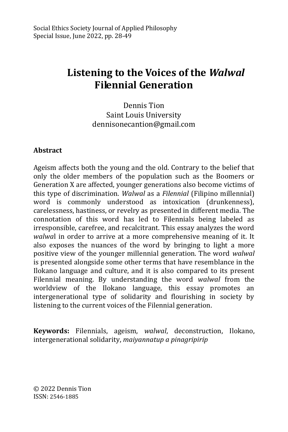# **Listening to the Voices of the** *Walwal*  **Filennial Generation**

Dennis Tion Saint Louis University dennisonecantion@gmail.com

#### **Abstract**

Ageism affects both the young and the old. Contrary to the belief that only the older members of the population such as the Boomers or Generation X are affected, younger generations also become victims of this type of discrimination. *Walwal* as a *Filennial* (Filipino millennial) word is commonly understood as intoxication (drunkenness), carelessness, hastiness, or revelry as presented in different media. The connotation of this word has led to Filennials being labeled as irresponsible, carefree, and recalcitrant. This essay analyzes the word *walwa*l in order to arrive at a more comprehensive meaning of it. It also exposes the nuances of the word by bringing to light a more positive view of the younger millennial generation. The word *walwal*  is presented alongside some other terms that have resemblance in the Ilokano language and culture, and it is also compared to its present Filennial meaning. By understanding the word *walwal* from the worldview of the Ilokano language, this essay promotes an intergenerational type of solidarity and flourishing in society by listening to the current voices of the Filennial generation.

**Keywords:** Filennials, ageism, *walwal*, deconstruction, Ilokano, intergenerational solidarity, *maiyannatup a pinagripirip*

© 2022 Dennis Tion ISSN: 2546-1885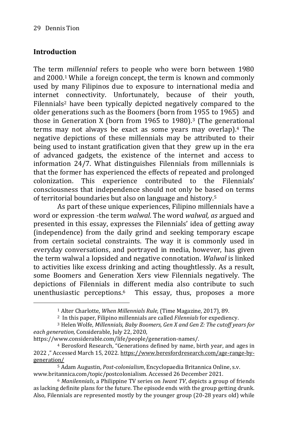#### **Introduction**

-

The term *millennial* refers to people who were born between 1980 and 2000.<sup>1</sup> While a foreign concept, the term is known and commonly used by many Filipinos due to exposure to international media and internet connectivity. Unfortunately, because of their youth, Filennials<sup>2</sup> have been typically depicted negatively compared to the older generations such as the Boomers (born from 1955 to 1965) and those in Generation X (born from 1965 to 1980).<sup>3</sup> (The generational terms may not always be exact as some years may overlap).<sup>4</sup> The negative depictions of these millennials may be attributed to their being used to instant gratification given that they grew up in the era of advanced gadgets, the existence of the internet and access to information 24/7. What distinguishes Filennials from millennials is that the former has experienced the effects of repeated and prolonged colonization. This experience contributed to the Filennials' consciousness that independence should not only be based on terms of territorial boundaries but also on language and history.<sup>5</sup>

As part of these unique experiences, Filipino millennials have a word or expression -the term *walwal*. The word *walwal, as* argued and presented in this essay, expresses the Filennials' idea of getting away (independence) from the daily grind and seeking temporary escape from certain societal constraints. The way it is commonly used in everyday conversations, and portrayed in media, however, has given the term walwal a lopsided and negative connotation. *Walwal* is linked to activities like excess drinking and acting thoughtlessly. As a result, some Boomers and Generation Xers view Filennials negatively. The depictions of Filennials in different media also contribute to such unenthusiastic perceptions.6 This essay, thus, proposes a more

<sup>1</sup> Alter Charlotte, *When Millennials Rule,* (Time Magazine, 2017), 89.

<sup>2</sup> In this paper, Filipino millennials are called *Filennials* for expediency.

<sup>3</sup> Helen Wolfe, *Millennials, Baby Boomers, Gen X and Gen Z: The cutoff years for each generation,* Considerable, July 22, 2020,

https://www.considerable.com/life/people/generation-names/.

<sup>4</sup> Berosford Research, "Generations defined by name, birth year, and ages in 2022 ," Accessed March 15, 2022. [https://www.beresfordresearch.com/age-range-by](https://www.beresfordresearch.com/age-range-by-generation/)[generation/](https://www.beresfordresearch.com/age-range-by-generation/)

<sup>5</sup> Adam Augustin, *Post-colonialism*, Encyclopaedia Britannica Online, s.v. www.britannica.com/topic/postcolonialism. Accessed 26 December 2021.

<sup>6</sup> *Manilennials*, a Philippine TV series on *Iwant TV*, depicts a group of friends as lacking definite plans for the future. The episode ends with the group getting drunk. Also, Filennials are represented mostly by the younger group (20-28 years old) while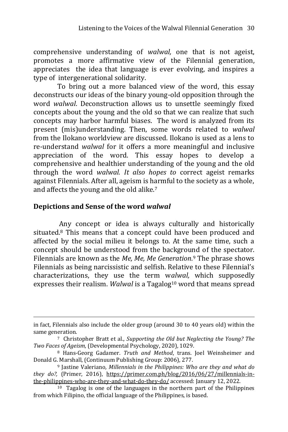comprehensive understanding of *walwal,* one that is not ageist, promotes a more affirmative view of the Filennial generation, appreciates the idea that language is ever evolving, and inspires a type of intergenerational solidarity.

To bring out a more balanced view of the word, this essay deconstructs our ideas of the binary young-old opposition through the word *walwal*. Deconstruction allows us to unsettle seemingly fixed concepts about the young and the old so that we can realize that such concepts may harbor harmful biases. The word is analyzed from its present (mis)understanding. Then, some words related to *walwal* from the Ilokano worldview are discussed. Ilokano is used as a lens to re-understand *walwal* for it offers a more meaningful and inclusive appreciation of the word. This essay hopes to develop a comprehensive and healthier understanding of the young and the old through the word *walwal. It also hopes to* correct ageist remarks against Filennials. After all, ageism is harmful to the society as a whole, and affects the young and the old alike.<sup>7</sup>

#### **Depictions and Sense of the word** *walwal*

-

Any concept or idea is always culturally and historically situated.<sup>8</sup> This means that a concept could have been produced and affected by the social milieu it belongs to. At the same time, such a concept should be understood from the background of the spectator. Filennials are known as the *Me, Me, Me Generation*. <sup>9</sup> The phrase shows Filennials as being narcissistic and selfish. Relative to these Filennial's characterizations, they use the term w*alwal,* which supposedly expresses their realism. *Walwal* is a Tagalog<sup>10</sup> word that means spread

in fact, Filennials also include the older group (around 30 to 40 years old) within the same generation.

<sup>7</sup> Christopher Bratt et al., *Supporting the Old but Neglecting the Young? The Two Faces of Ageism,* (Developmental Psychology, 2020), 1029.

<sup>8</sup> Hans-Georg Gadamer. *Truth and Method*, trans. Joel Weinsheimer and Donald G. Marshall, (Continuum Publishing Group: 2006), 277.

<sup>9</sup> Jastine Valeriano*, Millennials in the Philippines: Who are they and what do they do?,* (Primer, 2016), [https://primer.com.ph/blog/2016/06/27/millennials-in](https://primer.com.ph/blog/2016/06/27/millennials-in-the-philippines-who-are-they-and-what-do-they-do/)[the-philippines-who-are-they-and-what-do-they-do/](https://primer.com.ph/blog/2016/06/27/millennials-in-the-philippines-who-are-they-and-what-do-they-do/) accessed: January 12, 2022.

<sup>10</sup> Tagalog is one of the languages in the northern part of the Philippines from which Filipino, the official language of the Philippines, is based.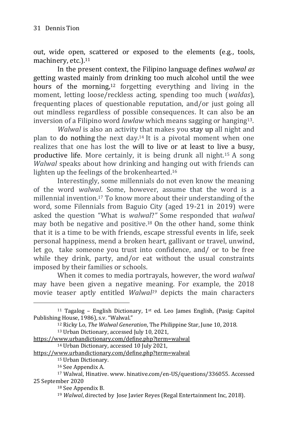out, wide open, scattered or exposed to the elements (e.g., tools, machinery, etc.).<sup>11</sup>

In the present context, the Filipino language defines *walwal as* getting wasted mainly from drinking too much alcohol until the wee hours of the morning,<sup>12</sup> forgetting everything and living in the moment, letting loose/reckless acting, spending too much (*waldas*), frequenting places of questionable reputation, and/or just going all out mindless regardless of possible consequences. It can also be an inversion of a Filipino word *lawlaw* which means sagging or hanging13.

*Walwal* is also an activity that makes you stay up all night and plan to do nothing the next day.<sup>14</sup> It is a pivotal moment when one realizes that one has lost the will to live or at least to live a busy, productive life. More certainly, it is being drunk all night.<sup>15</sup> A song *Walwal* speaks about how drinking and hanging out with friends can lighten up the feelings of the brokenhearted.<sup>16</sup>

Interestingly, some millennials do not even know the meaning of the word *walwal*. Some, however, assume that the word is a millennial invention.<sup>17</sup> To know more about their understanding of the word, some Filennials from Baguio City (aged 19-21 in 2019) were asked the question "What is *walwal*?*"* Some responded that *walwal*  may both be negative and positive.<sup>18</sup> On the other hand, some think that it is a time to be with friends, escape stressful events in life, seek personal happiness, mend a broken heart, gallivant or travel, unwind, let go, take someone you trust into confidence, and/ or to be free while they drink, party, and/or eat without the usual constraints imposed by their families or schools.

When it comes to media portrayals, however, the word *walwal*  may have been given a negative meaning. For example, the 2018 movie teaser aptly entitled *Walwal<sup>19</sup>* depicts the main characters

<sup>13</sup> Urban Dictionary, accessed July 10, 2021,

<https://www.urbandictionary.com/define.php?term=walwal>

<sup>&</sup>lt;sup>11</sup> Tagalog – English Dictionary, 1<sup>st</sup> ed. Leo James English, (Pasig: Capitol Publishing House, 1986), s.v. "Walwal."

<sup>12</sup> Ricky Lo, *The Walwal Generation*, The Philippine Star, June 10, 2018.

<https://www.urbandictionary.com/define.php?term=walwal>

<sup>14</sup> Urban Dictionary, accessed 10 July 2021,

<sup>15</sup> Urban Dictionary.

<sup>16</sup> See Appendix A.

<sup>17</sup> Walwal, Hinative. [www. hinative.com/en-US/questions/336055.](https://hinative.com/en-US/questions/336055) Accessed 25 September 2020

<sup>18</sup> See Appendix B.

<sup>19</sup> *Walwal*, directed by Jose Javier Reyes (Regal Entertainment Inc, 2018).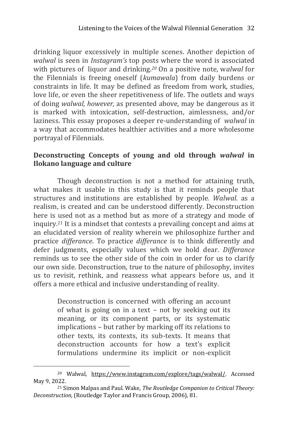drinking liquor excessively in multiple scenes. Another depiction of *walwal* is seen in *Instagram's* top posts where the word is associated with pictures of liquor and drinking.*<sup>20</sup>* On a positive note, w*alwal* for the Filennials is freeing oneself (*kumawala*) from daily burdens or constraints in life. It may be defined as freedom from work, studies, love life, or even the sheer repetitiveness of life. The outlets and ways of doing *walwal, however,* as presented above, may be dangerous as it is marked with intoxication, self-destruction, aimlessness, and/or laziness. This essay proposes a deeper re-understanding of *walwal* in a way that accommodates healthier activities and a more wholesome portrayal of Filennials.

#### **Deconstructing Concepts of young and old through** *walwal* **in Ilokano language and culture**

Though deconstruction is not a method for attaining truth, what makes it usable in this study is that it reminds people that structures and institutions are established by people*. Walwal.* as a realism, is created and can be understood differently. Deconstruction here is used not as a method but as more of a strategy and mode of inquiry.<sup>21</sup> It is a mindset that contests a prevailing concept and aims at an elucidated version of reality wherein we philosophize further and practice *differance*. To practice *differance* is to think differently and defer judgments, especially values which we hold dear. *Differance*  reminds us to see the other side of the coin in order for us to clarify our own side. Deconstruction, true to the nature of philosophy, invites us to revisit, rethink, and reassess what appears before us, and it offers a more ethical and inclusive understanding of reality.

> Deconstruction is concerned with offering an account of what is going on in a text – not by seeking out its meaning, or its component parts, or its systematic implications – but rather by marking off its relations to other texts, its contexts, its sub-texts. It means that deconstruction accounts for how a text's explicit formulations undermine its implicit or non-explicit

<sup>20</sup> Walwal, [https://www.instagram.com/explore/tags/walwal/.](https://www.instagram.com/explore/tags/walwal/) Accessed May 9, 2022.

<sup>21</sup> Simon Malpas and Paul. Wake, *The Routledge Companion to Critical Theory: Deconstruction,* (Routledge Taylor and Francis Group, 2006), 81.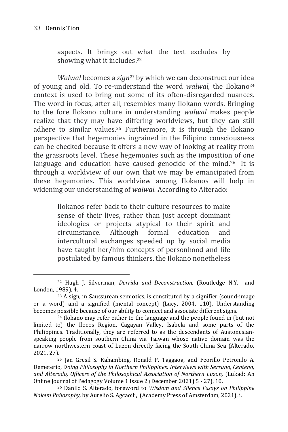-

aspects. It brings out what the text excludes by showing what it includes.<sup>22</sup>

*Walwal* becomes a *sign<sup>23</sup>* by which we can deconstruct our idea of young and old. To re-understand the word *walwal,* the Ilokano<sup>24</sup> context is used to bring out some of its often-disregarded nuances. The word in focus, after all, resembles many Ilokano words. Bringing to the fore Ilokano culture in understanding *walwal* makes people realize that they may have differing worldviews, but they can still adhere to similar values.<sup>25</sup> Furthermore, it is through the Ilokano perspective that hegemonies ingrained in the Filipino consciousness can be checked because it offers a new way of looking at reality from the grassroots level. These hegemonies such as the imposition of one language and education have caused genocide of the mind.<sup>26</sup> It is through a worldview of our own that we may be emancipated from these hegemonies. This worldview among Ilokanos will help in widening our understanding of *walwal.* According to Alterado:

> Ilokanos refer back to their culture resources to make sense of their lives, rather than just accept dominant ideologies or projects atypical to their spirit and circumstance. Although formal education and intercultural exchanges speeded up by social media have taught her/him concepts of personhood and life postulated by famous thinkers, the Ilokano nonetheless

<sup>22</sup> Hugh J. Silverman, *Derrida and Deconstruction,* (Routledge N.Y. and London, 1989), 4.

<sup>23</sup> A sign, in Saussurean semiotics, is constituted by a signifier (sound-image or a word) and a signified (mental concept) (Lucy, 2004, 110). Understanding becomes possible because of our ability to connect and associate different signs.

<sup>24</sup> Ilokano may refer either to the language and the people found in (but not limited to) the Ilocos Region, Cagayan Valley, Isabela and some parts of the Philippines. Traditionally, they are referred to as the descendants of Austonesianspeaking people from southern China via Taiwan whose native domain was the narrow northwestern coast of Luzon directly facing the South China Sea (Alterado, 2021, 27).

<sup>25</sup> Jan Gresil S. Kahambing, Ronald P. Taggaoa, and Feorillo Petronilo A. Demeterio, D*oing Philosophy in Northern Philippines: Interviews with Serrano, Centeno, and Alterado, Officers of the Philosophical Association of Northern Luzon,* (Lukad: An Online Journal of Pedagogy Volume 1 Issue 2 (December 2021) 5 - 27), 10.

<sup>26</sup> Danilo S. Alterado, foreword to *Wisdom and Silence Essays on Philippine Nakem Philosophy,* by Aurelio S. Agcaoili, (Academy Press of Amsterdam, 2021), i.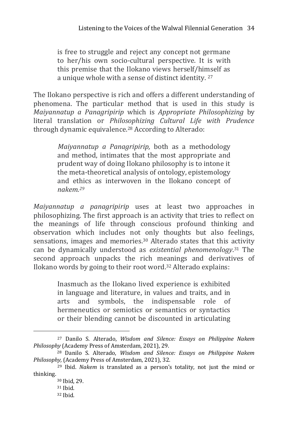is free to struggle and reject any concept not germane to her/his own socio-cultural perspective. It is with this premise that the Ilokano views herself/himself as a unique whole with a sense of distinct identity. <sup>27</sup>

The Ilokano perspective is rich and offers a different understanding of phenomena. The particular method that is used in this study is *Maiyannatup a Panagripirip* which is *Appropriate Philosophizing* by literal translation or *Philosophizing Cultural Life with Prudence*  through dynamic equivalence.<sup>28</sup> According to Alterado:

> *Maiyannatup a Panagripirip,* both as a methodology and method, intimates that the most appropriate and prudent way of doing Ilokano philosophy is to intone it the meta-theoretical analysis of ontology, epistemology and ethics as interwoven in the Ilokano concept of *nakem.<sup>29</sup>*

*Maiyannatup a panagripirip* uses at least two approaches in philosophizing. The first approach is an activity that tries to reflect on the meanings of life through conscious profound thinking and observation which includes not only thoughts but also feelings, sensations, images and memories.<sup>30</sup> Alterado states that this activity can be dynamically understood as *existential phenomenology*. <sup>31</sup> The second approach unpacks the rich meanings and derivatives of Ilokano words by going to their root word.<sup>32</sup> Alterado explains:

> Inasmuch as the Ilokano lived experience is exhibited in language and literature, in values and traits, and in arts and symbols, the indispensable role of hermeneutics or semiotics or semantics or syntactics or their blending cannot be discounted in articulating

<sup>27</sup> Danilo S. Alterado, *Wisdom and Silence: Essays on Philippine Nakem Philosophy* (Academy Press of Amsterdam, 2021), 29.

<sup>28</sup> Danilo S. Alterado, *Wisdom and Silence: Essays on Philippine Nakem Philosophy,* (Academy Press of Amsterdam, 2021), 32.

<sup>29</sup> Ibid. *Nakem* is translated as a person's totality, not just the mind or thinking.

<sup>30</sup> Ibid, 29.

<sup>31</sup> Ibid.

<sup>32</sup> Ibid.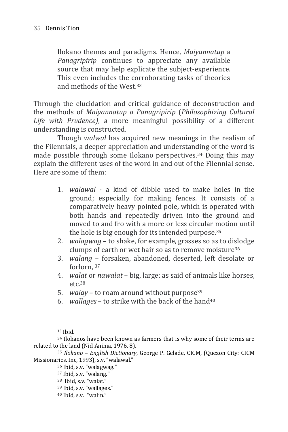Ilokano themes and paradigms. Hence, *Maiyannatup* a *Panagripirip* continues to appreciate any available source that may help explicate the subject-experience. This even includes the corroborating tasks of theories and methods of the West.<sup>33</sup>

Through the elucidation and critical guidance of deconstruction and the methods of *Maiyannatup a Panagripirip* (*Philosophizing Cultural Life with Prudence)*, a more meaningful possibility of a different understanding is constructed.

Though *walwal* has acquired new meanings in the realism of the Filennials, a deeper appreciation and understanding of the word is made possible through some Ilokano perspectives.<sup>34</sup> Doing this may explain the different uses of the word in and out of the Filennial sense. Here are some of them:

- 1. *walawal* a kind of dibble used to make holes in the ground; especially for making fences. It consists of a comparatively heavy pointed pole, which is operated with both hands and repeatedly driven into the ground and moved to and fro with a more or less circular motion until the hole is big enough for its intended purpose.<sup>35</sup>
- 2. *walagwag* to shake, for example, grasses so as to dislodge clumps of earth or wet hair so as to remove moisture<sup>36</sup>
- 3. *walang*  forsaken, abandoned, deserted, left desolate or forlorn, <sup>37</sup>
- 4. *walat* or *nawalat* big, large; as said of animals like horses,  $etc.$ <sup>38</sup>
- 5. *walay* to roam around without purpose<sup>39</sup>
- 6. *wallages* to strike with the back of the hand<sup>40</sup>

<sup>33</sup> Ibid.

-

<sup>39</sup> Ibid, s.v. "wallages."

<sup>34</sup> Ilokanos have been known as farmers that is why some of their terms are related to the land (Nid Anima, 1976, 8).

<sup>35</sup> *Ilokano – English Dictionary*, George P. Gelade, CICM, (Quezon City: CICM Missionaries. Inc, 1993), s.v. "walawal."

<sup>36</sup> Ibid, s.v. "walagwag."

<sup>37</sup> Ibid, s.v. "walang."

<sup>38</sup> Ibid, s.v. "walat."

<sup>40</sup> Ibid, s.v. "walin."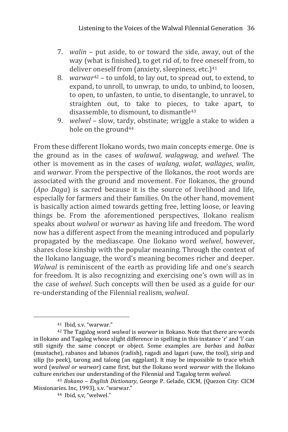- 7. *walin* put aside, to or toward the side, away, out of the way (what is finished), to get rid of, to free oneself from, to deliver oneself from (anxiety, sleepiness, etc.)<sup>41</sup>
- 8. *warwar*<sup>42</sup> to unfold, to lay out, to spread out, to extend, to expand, to unroll, to unwrap, to undo, to unbind, to loosen, to open, to unfasten, to untie, to disentangle, to unravel, to straighten out, to take to pieces, to take apart, to disassemble, to dismount, to dismantle<sup>43</sup>
- 9. *welwel* slow, tardy, obstinate; wriggle a stake to widen a hole on the ground<sup>44</sup>

From these different Ilokano words, two main concepts emerge. One is the ground as in the cases of *walawal, walagwag,* and *welwel*. The other is movement as in the cases of *walang*, *walat*, *wallages*, *walin*, and *warwar*. From the perspective of the Ilokanos, the root words are associated with the ground and movement. For Ilokanos, the ground (*Apo Daga*) is sacred because it is the source of livelihood and life, especially for farmers and their families. On the other hand, movement is basically action aimed towards getting free, letting loose, or leaving things be. From the aforementioned perspectives, Ilokano realism speaks about *walwal* or *warwar* as having life and freedom. The word now has a different aspect from the meaning introduced and popularly propagated by the mediascape. One Ilokano word *welwel*, however, shares close kinship with the popular meaning. Through the context of the Ilokano language, the word's meaning becomes richer and deeper. *Walwal* is reminiscent of the earth as providing life and one's search for freedom. It is also recognizing and exercising one's own will as in the case of *welwel*. Such concepts will then be used as a guide for our re-understanding of the Filennial realism, *walwal*.

<sup>41</sup> Ibid, s.v. "warwar."

<sup>42</sup> The Tagalog word *walwal* is *warwar* in Ilokano. Note that there are words in Ilokano and Tagalog whose slight difference in spelling in this instance 'r' and 'l' can still signify the same concept or object. Some examples are *barbas* and *balbas* (mustache), rabanos and labanos (radish), ragadi and lagari (saw, the tool), sirip and silip (to peek), tarong and talong (an eggplant). It may be impossible to trace which word (*walwal or warwar*) came first, but the Ilokano word *warwar* with the Ilokano culture enriches our understanding of the Filennial and Tagalog term *walwal*.

<sup>43</sup> *Ilokano – English Dictionary*, George P. Gelade, CICM, (Quezon City: CICM Missionaries. Inc, 1993), s.v. "warwar."

<sup>44</sup> Ibid, s,v, "welwel."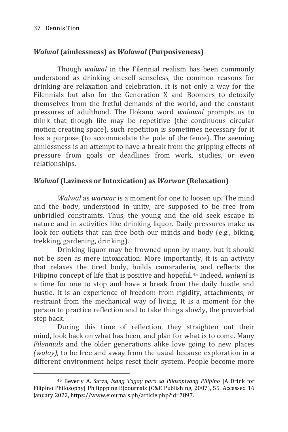-

### *Walwal* **(aimlessness) as** *Walawal* **(Purposiveness)**

Though *walwal* in the Filennial realism has been commonly understood as drinking oneself senseless, the common reasons for drinking are relaxation and celebration. It is not only a way for the Filennials but also for the Generation X and Boomers to detoxify themselves from the fretful demands of the world, and the constant pressures of adulthood. The Ilokano word *walawal* prompts us to think that though life may be repetitive (the continuous circular motion creating space), such repetition is sometimes necessary for it has a purpose (to accommodate the pole of the fence). The seeming aimlessness is an attempt to have a break from the gripping effects of pressure from goals or deadlines from work, studies, or even relationships.

#### *Walwal* **(Laziness or Intoxication) as** *Warwar* **(Relaxation)**

*Walwal* as *warwar* is a moment for one to loosen up. The mind and the body, understood in unity, are supposed to be free from unbridled constraints. Thus, the young and the old seek escape in nature and in activities like drinking liquor. Daily pressures make us look for outlets that can free both our minds and body (e.g., biking, trekking, gardening, drinking).

Drinking liquor may be frowned upon by many, but it should not be seen as mere intoxication. More importantly, it is an activity that relaxes the tired body, builds camaraderie, and reflects the Filipino concept of life that is positive and hopeful.<sup>45</sup> Indeed, *walwal* is a time for one to stop and have a break from the daily hustle and bustle. It is an experience of freedom from rigidity, attachments, or restraint from the mechanical way of living. It is a moment for the person to practice reflection and to take things slowly, the proverbial step back.

During this time of reflection, they straighten out their mind, look back on what has been, and plan for what is to come. Many *Filennials* and the older generations alike love going to new places *(walay),* to be free and away from the usual because exploration in a different environment helps reset their system. People become more

<sup>45</sup> Beverly A. Sarza, *Isang Tagay para sa Pilosopiyang Pilipino* [A Drink for Filipino Philosophy] Philipppine EJoournals (C&E Publishing, 2007), 55. Accessed 16 January 2022, https://www.ejournals.ph/article.php?id=7897.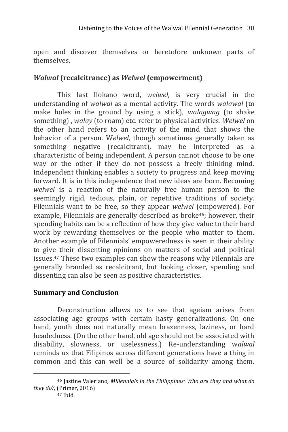open and discover themselves or heretofore unknown parts of themselves.

#### *Walwal* **(recalcitrance) as** *Welwel* **(empowerment)**

This last Ilokano word, *welwel,* is very crucial in the understanding of *walwal* as a mental activity. The words *walawal* (to make holes in the ground by using a stick), *walagwag* (to shake something) , *walay* (to roam) etc. refer to physical activities. *Welwel* on the other hand refers to an activity of the mind that shows the behavior of a person. W*elwel,* though sometimes generally taken as something negative (recalcitrant), may be interpreted as a characteristic of being independent. A person cannot choose to be one way or the other if they do not possess a freely thinking mind. Independent thinking enables a society to progress and keep moving forward. It is in this independence that new ideas are born. Becoming *welwel* is a reaction of the naturally free human person to the seemingly rigid, tedious, plain, or repetitive traditions of society. Filennials want to be free, so they appear *welwel* (empowered)*.* For example. Filennials are generally described as broke<sup>46</sup>; however, their spending habits can be a reflection of how they give value to their hard work by rewarding themselves or the people who matter to them. Another example of Filennials' empoweredness is seen in their ability to give their dissenting opinions on matters of social and political issues.<sup>47</sup> These two examples can show the reasons why Filennials are generally branded as recalcitrant, but looking closer, spending and dissenting can also be seen as positive characteristics.

#### **Summary and Conclusion**

Deconstruction allows us to see that ageism arises from associating age groups with certain hasty generalizations. On one hand, youth does not naturally mean brazenness, laziness, or hard headedness. (On the other hand, old age should not be associated with disability, slowness, or uselessness.) Re-understanding w*alwal*  reminds us that Filipinos across different generations have a thing in common and this can well be a source of solidarity among them.

<sup>46</sup> Jastine Valeriano*, Millennials in the Philippines: Who are they and what do they do?,* (Primer, 2016)

<sup>47</sup> Ibid.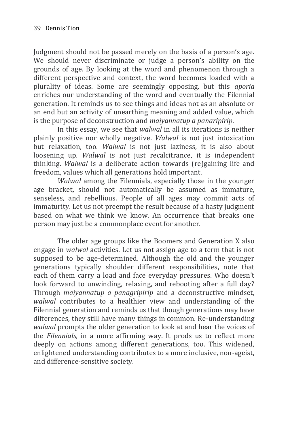Judgment should not be passed merely on the basis of a person's age. We should never discriminate or judge a person's ability on the grounds of age. By looking at the word and phenomenon through a different perspective and context, the word becomes loaded with a plurality of ideas. Some are seemingly opposing, but this *aporia* enriches our understanding of the word and eventually the Filennial generation. It reminds us to see things and ideas not as an absolute or an end but an activity of unearthing meaning and added value, which is the purpose of deconstruction and *maiyannatup a panaripirip*.

In this essay, we see that *walwal* in all its iterations is neither plainly positive nor wholly negative. *Walwal* is not just intoxication but relaxation, too. *Walwal* is not just laziness, it is also about loosening up. *Walwal* is not just recalcitrance, it is independent thinking. *Walwal* is a deliberate action towards (re)gaining life and freedom, values which all generations hold important.

*Walwal* among the Filennials, especially those in the younger age bracket, should not automatically be assumed as immature, senseless, and rebellious. People of all ages may commit acts of immaturity. Let us not preempt the result because of a hasty judgment based on what we think we know. An occurrence that breaks one person may just be a commonplace event for another.

The older age groups like the Boomers and Generation X also engage in *walwal* activities. Let us not assign age to a term that is not supposed to be age-determined. Although the old and the younger generations typically shoulder different responsibilities, note that each of them carry a load and face everyday pressures. Who doesn't look forward to unwinding, relaxing, and rebooting after a full day? Through *maiyannatup a panagripirip* and a deconstructive mindset, *walwal* contributes to a healthier view and understanding of the Filennial generation and reminds us that though generations may have differences, they still have many things in common. Re-understanding *walwal* prompts the older generation to look at and hear the voices of the *Filennials*, in a more affirming way. It prods us to reflect more deeply on actions among different generations, too. This widened, enlightened understanding contributes to a more inclusive, non-ageist, and difference-sensitive society.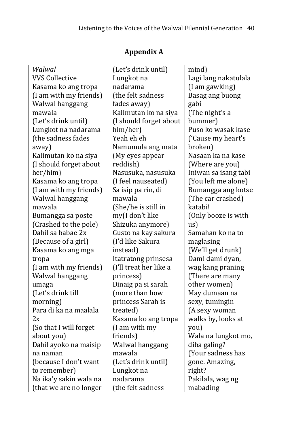| Walwal                 | (Let's drink until)    | mind)                |
|------------------------|------------------------|----------------------|
| <b>VVS Collective</b>  | Lungkot na             | Lagi lang nakatulala |
| Kasama ko ang tropa    | nadarama               | (I am gawking)       |
| (I am with my friends) | (the felt sadness      | Basag ang buong      |
| Walwal hanggang        | fades away)            | gabi                 |
| mawala                 | Kalimutan ko na siya   | (The night's a       |
| (Let's drink until)    | (I should forget about | bummer)              |
| Lungkot na nadarama    | him/her)               | Puso ko wasak kase   |
| (the sadness fades     | Yeah eh eh             | ('Cause my heart's   |
| away)                  | Namumula ang mata      | broken)              |
| Kalimutan ko na siya   | (My eyes appear        | Nasaan ka na kase    |
| (I should forget about | reddish)               | (Where are you)      |
| her/him)               | Nasusuka, nasusuka     | Iniwan sa isang tabi |
| Kasama ko ang tropa    | (I feel nauseated)     | (You left me alone)  |
| (I am with my friends) | Sa isip pa rin, di     | Bumangga ang kotse   |
| Walwal hanggang        | mawala                 | (The car crashed)    |
| mawala                 | (She/he is still in    | katabi!              |
| Bumangga sa poste      | my(I don't like        | (Only booze is with  |
| (Crashed to the pole)  | Shizuka anymore)       | $\text{us}$ )        |
| Dahil sa babae 2x      | Gusto na kay sakura    | Samahan ko na to     |
| (Because of a girl)    | (I'd like Sakura       | maglasing            |
| Kasama ko ang mga      | instead)               | (We'll get drunk)    |
| tropa                  | Itatratong prinsesa    | Dami dami dyan,      |
| (I am with my friends) | (I'll treat her like a | wag kang praning     |
| Walwal hanggang        | princess)              | (There are many      |
| umaga                  | Dinaig pa si sarah     | other women)         |
| (Let's drink till      | (more than how         | May dumaan na        |
| morning)               | princess Sarah is      | sexy, tumingin       |
| Para di ka na maalala  | treated)               | (A sexy woman        |
| 2x                     | Kasama ko ang tropa    | walks by, looks at   |
| (So that I will forget | (I am with my          | you)                 |
| about you)             | friends)               | Wala na lungkot mo,  |
| Dahil ayoko na maisip  | Walwal hanggang        | diba galing?         |
| na naman               | mawala                 | (Your sadness has    |
| (because I don't want  | (Let's drink until)    | gone. Amazing,       |
| to remember)           | Lungkot na             | right?               |
| Na ika'y sakin wala na | nadarama               | Pakilala, wag ng     |
| (that we are no longer | (the felt sadness      | mabading             |

# **Appendix A**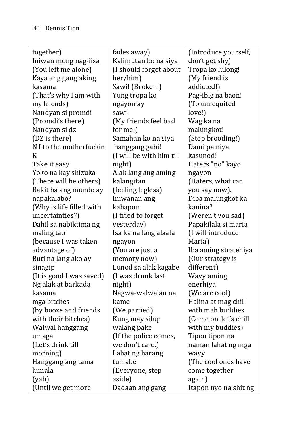| together)                | fades away)              | (Introduce yourself,  |
|--------------------------|--------------------------|-----------------------|
| Iniwan mong nag-iisa     | Kalimutan ko na siya     | don't get shy)        |
| (You left me alone)      | (I should forget about   | Tropa ko lulong!      |
| Kaya ang gang aking      | her/him)                 | (My friend is         |
| kasama                   | Sawi! (Broken!)          | addicted!)            |
| (That's why I am with    | Yung tropa ko            | Pag-ibig na baon!     |
| my friends)              | ngayon ay                | (To unrequited        |
| Nandyan si promdi        | sawi!                    | love!)                |
| (Promdi's there)         | (My friends feel bad     | Wag ka na             |
| Nandyan si dz            | for me!)                 | malungkot!            |
| (DZ is there)            | Samahan ko na siya       | (Stop brooding!)      |
| N I to the motherfuckin  | hanggang gabi!           | Dami pa niya          |
| K                        | (I will be with him till | kasunod!              |
| Take it easy             | night)                   | Haters "no" kayo      |
| Yoko na kay shizuka      | Alak lang ang aming      | ngayon                |
| (There will be others)   | kalangitan               | (Haters, what can     |
| Bakit ba ang mundo ay    | (feeling legless)        | you say now).         |
| napakalabo?              | Iniwanan ang             | Diba malungkot ka     |
| (Why is life filled with | kahapon                  | kanina?               |
| uncertainties?)          | (I tried to forget       | (Weren't you sad)     |
| Dahil sa nabiktima ng    | yesterday)               | Papakilala si maria   |
| maling tao               | Isa ka na lang alaala    | (I will introduce     |
| (because I was taken     | ngayon                   | Maria)                |
| advantage of)            | (You are just a          | Iba aming stratehiya  |
| Buti na lang ako ay      | memory now)              | (Our strategy is      |
| sinagip                  | Lunod sa alak kagabe     | different)            |
| (It is good I was saved) | (I was drunk last        | Wavy aming            |
| Ng alak at barkada       | night)                   | enerhiya              |
| kasama                   | Nagwa-walwalan na        | (We are cool)         |
| mga bitches              | kame                     | Halina at mag chill   |
| (by booze and friends    | (We partied)             | with mah buddies      |
| with their bitches)      | Kung may silup           | (Come on, let's chill |
| Walwal hanggang          | walang pake              | with my buddies)      |
| umaga                    | (If the police comes,    | Tipon tipon na        |
| (Let's drink till        | we don't care.)          | naman lahat ng mga    |
| morning)                 | Lahat ng harang          | wavy                  |
| Hanggang ang tama        | tumabe                   | (The cool ones have   |
| lumala                   | (Everyone, step          | come together         |
| (yah)                    | aside)                   | again)                |
| (Until we get more       | Dadaan ang gang          | Itapon nyo na shit ng |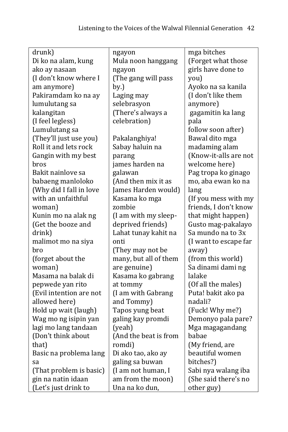| drunk)                  | ngayon                | mga bitches           |
|-------------------------|-----------------------|-----------------------|
| Di ko na alam, kung     | Mula noon hanggang    | (Forget what those    |
| ako ay nasaan           | ngayon                | girls have done to    |
| (I don't know where I   | (The gang will pass   | you)                  |
| am anymore)             | by.)                  | Ayoko na sa kanila    |
| Pakiramdam ko na ay     | Laging may            | (I don't like them    |
| lumulutang sa           | selebrasyon           | anymore)              |
| kalangitan              | (There's always a     | gagamitin ka lang     |
| (I feel legless)        | celebration)          | pala                  |
| Lumulutang sa           |                       | follow soon after)    |
| (They'll just use you)  | Pakalanghiya!         | Bawal dito mga        |
| Roll it and lets rock   | Sabay haluin na       | madaming alam         |
| Gangin with my best     | parang                | (Know-it-alls are not |
| bros                    | james harden na       | welcome here)         |
| Bakit nainlove sa       | galawan               | Pag tropa ko ginago   |
| babaeng manloloko       | (And then mix it as   | mo, aba ewan ko na    |
| (Why did I fall in love | James Harden would)   | lang                  |
| with an unfaithful      | Kasama ko mga         | (If you mess with my  |
| woman)                  | zombie                | friends, I don't know |
| Kunin mo na alak ng     | (I am with my sleep-  | that might happen)    |
| (Get the booze and      | deprived friends)     | Gusto mag-pakalayo    |
| drink)                  | Lahat tunay kahit na  | Sa mundo na to 3x     |
| malimot mo na siya      | onti                  | (I want to escape far |
| bro                     | (They may not be      | away)                 |
| (forget about the       | many, but all of them | (from this world)     |
| woman)                  | are genuine)          | Sa dinami dami ng     |
| Masama na balak di      | Kasama ko gabrang     | lalake                |
| pepwede yan rito        | at tommy              | (Of all the males)    |
| (Evil intention are not | (I am with Gabrang    | Puta! bakit ako pa    |
| allowed here)           | and Tommy)            | nadali?               |
| Hold up wait (laugh)    | Tapos yung beat       | (Fuck! Why me?)       |
| Wag mo ng isipin yan    | galing kay promdi     | Demonyo pala pare?    |
| lagi mo lang tandaan    | (yeah)                | Mga magagandang       |
| (Don't think about      | (And the beat is from | babae                 |
| that)                   | romdi)                | (My friend, are       |
| Basic na problema lang  | Di ako tao, ako ay    | beautiful women       |
| sa                      | galing sa buwan       | bitches?)             |
| (That problem is basic) | (I am not human, I    | Sabi nya walang iba   |
| gin na natin idaan      | am from the moon)     | (She said there's no  |
| (Let's just drink to    | Una na ko dun,        | other guy)            |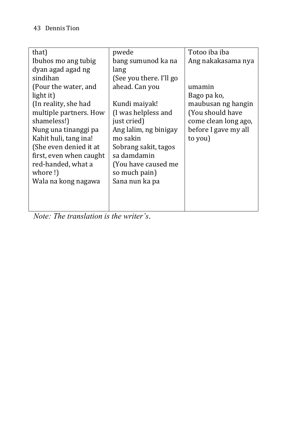| that)                   | pwede                   | Totoo iba iba        |
|-------------------------|-------------------------|----------------------|
| Ibuhos mo ang tubig     | bang sumunod ka na      | Ang nakakasama nya   |
| dyan agad agad ng       | lang                    |                      |
| sindihan                | (See you there. I'll go |                      |
| (Pour the water, and    | ahead. Can you          | umamin               |
| light it)               |                         | Bago pa ko,          |
| (In reality, she had    | Kundi maiyak!           | maubusan ng hangin   |
| multiple partners. How  | (I was helpless and     | (You should have     |
| shameless!)             | just cried)             | come clean long ago, |
| Nung una tinanggi pa    | Ang lalim, ng binigay   | before I gave my all |
| Kahit huli, tang ina!   | mo sakin                | to you)              |
| (She even denied it at  | Sobrang sakit, tagos    |                      |
| first, even when caught | sa damdamin             |                      |
| red-handed, what a      | (You have caused me     |                      |
| whore!)                 | so much pain)           |                      |
| Wala na kong nagawa     | Sana nun ka pa          |                      |
|                         |                         |                      |
|                         |                         |                      |
|                         |                         |                      |

*Note: The translation is the writer's*.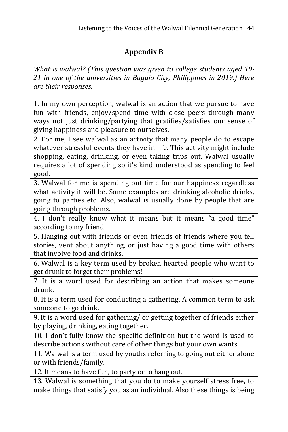## **Appendix B**

*What is walwal? (This question was given to college students aged 19- 21 in one of the universities in Baguio City, Philippines in 2019.) Here are their responses.*

1. In my own perception, walwal is an action that we pursue to have fun with friends, enjoy/spend time with close peers through many ways not just drinking/partying that gratifies/satisfies our sense of giving happiness and pleasure to ourselves.

2. For me, I see walwal as an activity that many people do to escape whatever stressful events they have in life. This activity might include shopping, eating, drinking, or even taking trips out. Walwal usually requires a lot of spending so it's kind understood as spending to feel good.

3. Walwal for me is spending out time for our happiness regardless what activity it will be. Some examples are drinking alcoholic drinks, going to parties etc. Also, walwal is usually done by people that are going through problems.

4. I don't really know what it means but it means "a good time" according to my friend.

5. Hanging out with friends or even friends of friends where you tell stories, vent about anything, or just having a good time with others that involve food and drinks.

6. Walwal is a key term used by broken hearted people who want to get drunk to forget their problems!

7. It is a word used for describing an action that makes someone drunk.

8. It is a term used for conducting a gathering. A common term to ask someone to go drink.

9. It is a word used for gathering/ or getting together of friends either by playing, drinking, eating together.

10. I don't fully know the specific definition but the word is used to describe actions without care of other things but your own wants.

11. Walwal is a term used by youths referring to going out either alone or with friends/family.

12. It means to have fun, to party or to hang out.

13. Walwal is something that you do to make yourself stress free, to make things that satisfy you as an individual. Also these things is being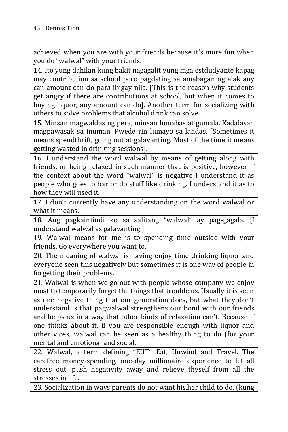achieved when you are with your friends because it's more fun when you do "walwal" with your friends.

14. Ito yung dahilan kung bakit nagagalit yung mga estdudyante kapag may contribution sa school pero pagdating sa amabagan ng alak any can amount can do para ibigay nila. [This is the reason why students get angry if there are contributions at school, but when it comes to buying liquor, any amount can do]. Another term for socializing with others to solve problems that alcohol drink can solve.

15. Minsan magwaldas ng pera, minsan lumabas at gumala. Kadalasan magpawasak sa inuman. Pwede rin lumayo sa landas. [Sometimes it means spendthrift, going out at galavanting. Most of the time it means getting wasted in drinking sessions].

16. I understand the word walwal by means of getting along with friends, or being relaxed in such manner that is positive, however if the context about the word "walwal" is negative I understand it as people who goes to bar or do stuff like drinking. I understand it as to how they will used it.

17. I don't currently have any understanding on the word walwal or what it means.

18. Ang pagkaintindi ko sa salitang "walwal" ay pag-gagala. [I understand walwal as galavanting.]

19. Walwal means for me is to spending time outside with your friends. Go everywhere you want to.

20. The meaning of walwal is having enjoy time drinking liquor and everyone seen this negatively but sometimes it is one way of people in forgetting their problems.

21. Walwal is when we go out with people whose company we enjoy most to temporarily forget the things that trouble us. Usually it is seen as one negative thing that our generation does, but what they don't understand is that pagwalwal strengthens our bond with our friends and helps us in a way that other kinds of relaxation can't. Because if one thinks about it, if you are responsible enough with liquor and other vices, walwal can be seen as a healthy thing to do (for your mental and emotional and social.

22. Walwal, a term defining "EUT" Eat, Unwind and Travel. The carefree money-spending, one-day millionaire experience to let all stress out, push negativity away and relieve thyself from all the stresses in life.

23. Socialization in ways parents do not want his.her child to do. (kung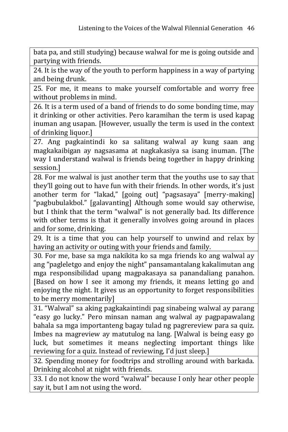bata pa, and still studying) because walwal for me is going outside and partying with friends.

24. It is the way of the youth to perform happiness in a way of partying and being drunk.

25. For me, it means to make yourself comfortable and worry free without problems in mind.

26. It is a term used of a band of friends to do some bonding time, may it drinking or other activities. Pero karamihan the term is used kapag inuman ang usapan. [However, usually the term is used in the context of drinking liquor.]

27. Ang pagkaintindi ko sa salitang walwal ay kung saan ang magkakaibigan ay nagsasama at nagkakasiya sa isang inuman. [The way I understand walwal is friends being together in happy drinking session.]

28. For me walwal is just another term that the youths use to say that they'll going out to have fun with their friends. In other words, it's just another term for "lakad," [going out] "pagsasaya" [merry-making] "pagbubulakbol." [galavanting] Although some would say otherwise, but I think that the term "walwal" is not generally bad. Its difference with other terms is that it generally involves going around in places and for some, drinking.

29. It is a time that you can help yourself to unwind and relax by having an activity or outing with your friends and family.

30. For me, base sa mga nakikita ko sa mga friends ko ang walwal ay ang "pagleletgo and enjoy the night" pansamantalang kakalimutan ang mga responsibilidad upang magpakasaya sa panandaliang panahon. [Based on how I see it among my friends, it means letting go and enjoying the night. It gives us an opportunity to forget responsibilities to be merry momentarily]

31. "Walwal" sa aking pagkakaintindi pag sinabeing walwal ay parang "easy go lucky." Pero minsan naman ang walwal ay pagpapawalang bahala sa mga importanteng bagay tulad ng pagrereview para sa quiz. Imbes na magreview ay matutulog na lang. [Walwal is being easy go luck, but sometimes it means neglecting important things like reviewing for a quiz. Instead of reviewing, I'd just sleep.]

32. Spending money for foodtrips and strolling around with barkada. Drinking alcohol at night with friends.

33. I do not know the word "walwal" because I only hear other people say it, but I am not using the word.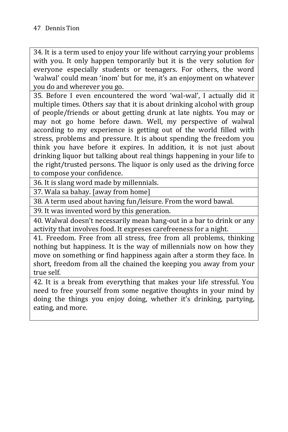34. It is a term used to enjoy your life without carrying your problems with you. It only happen temporarily but it is the very solution for everyone especially students or teenagers. For others, the word 'walwal' could mean 'inom' but for me, it's an enjoyment on whatever you do and wherever you go.

35. Before I even encountered the word 'wal-wal', I actually did it multiple times. Others say that it is about drinking alcohol with group of people/friends or about getting drunk at late nights. You may or may not go home before dawn. Well, my perspective of walwal according to my experience is getting out of the world filled with stress, problems and pressure. It is about spending the freedom you think you have before it expires. In addition, it is not just about drinking liquor but talking about real things happening in your life to the right/trusted persons. The liquor is only used as the driving force to compose your confidence.

36. It is slang word made by millennials.

37. Wala sa bahay. [away from home]

38. A term used about having fun/leisure. From the word bawal.

39. It was invented word by this generation.

40. Walwal doesn't necessarily mean hang-out in a bar to drink or any activity that involves food. It expreses carefreeness for a night.

41. Freedom. Free from all stress, free from all problems, thinking nothing but happiness. It is the way of millennials now on how they move on something or find happiness again after a storm they face. In short, freedom from all the chained the keeping you away from your true self.

42. It is a break from everything that makes your life stressful. You need to free yourself from some negative thoughts in your mind by doing the things you enjoy doing, whether it's drinking, partying, eating, and more.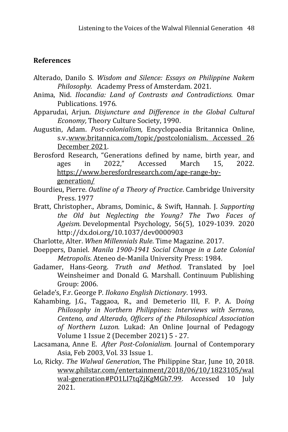#### **References**

- Alterado, Danilo S. *Wisdom and Silence: Essays on Philippine Nakem Philosophy.* Academy Press of Amsterdam. 2021.
- Anima, Nid. *Ilocandia: Land of Contrasts and Contradictions.* Omar Publications. 1976.
- Apparudai, Arjun. *Disjuncture and Difference in the Global Cultural Economy,* Theory Culture Society, 1990.
- Augustin, Adam. *Post-colonialism,* Encyclopaedia Britannica Online, s.v[..www.britannica.com/topic/postcolonialism. Accessed 26](http://www.britannica.com/topic/postcolonialism.%20Accessed%2026%20December%202021)  [December 2021.](http://www.britannica.com/topic/postcolonialism.%20Accessed%2026%20December%202021)
- Berosford Research, "Generations defined by name, birth year, and ages in 2022," Accessed March 15, 2022. [https://www.beresfordresearch.com/age-range-by](https://www.beresfordresearch.com/age-range-by-generation/)[generation/](https://www.beresfordresearch.com/age-range-by-generation/)
- Bourdieu, Pierre. *Outline of a Theory of Practice*. Cambridge University Press. 1977
- Bratt, Christopher., Abrams, Dominic., & Swift, Hannah. J. *Supporting the Old but Neglecting the Young? The Two Faces of Ageism.* Developmental Psychology, 56(5), 1029-1039. 2020 http://dx.doi.org/10.1037/dev0000903
- Charlotte, Alter. *When Millennials Rule*. Time Magazine. 2017.
- Doeppers, Daniel. *Manila 1900-1941 Social Change in a Late Colonial Metropolis*. Ateneo de-Manila University Press: 1984.
- Gadamer, Hans-Georg. *Truth and Method*. Translated by Joel Weinsheimer and Donald G. Marshall. Continuum Publishing Group: 2006.
- Gelade's, F.r. George P. *Ilokano English Dictionary*. 1993.
- Kahambing, J.G., Taggaoa, R., and Demeterio III, F. P. A. D*oing Philosophy in Northern Philippines: Interviews with Serrano, Centeno, and Alterado, Officers of the Philosophical Association of Northern Luzon.* Lukad: An Online Journal of Pedagogy Volume 1 Issue 2 (December 2021) 5 - 27.
- Lacsamana, Anne E. *After Post-Colonialism.* Journal of Contemporary Asia, Feb 2003, Vol. 33 Issue 1.
- Lo, Ricky. *The Walwal Generation*, The Philippine Star, June 10, 2018. [www.philstar.com/entertainment/2018/06/10/1823105/wal](http://www.philstar.com/entertainment/2018/06/10/1823105/walwal-generation#PO1LI7tqZjKgMGb7.99) [wal-generation#PO1LI7tqZjKgMGb7.99.](http://www.philstar.com/entertainment/2018/06/10/1823105/walwal-generation#PO1LI7tqZjKgMGb7.99) Accessed 10 July 2021.